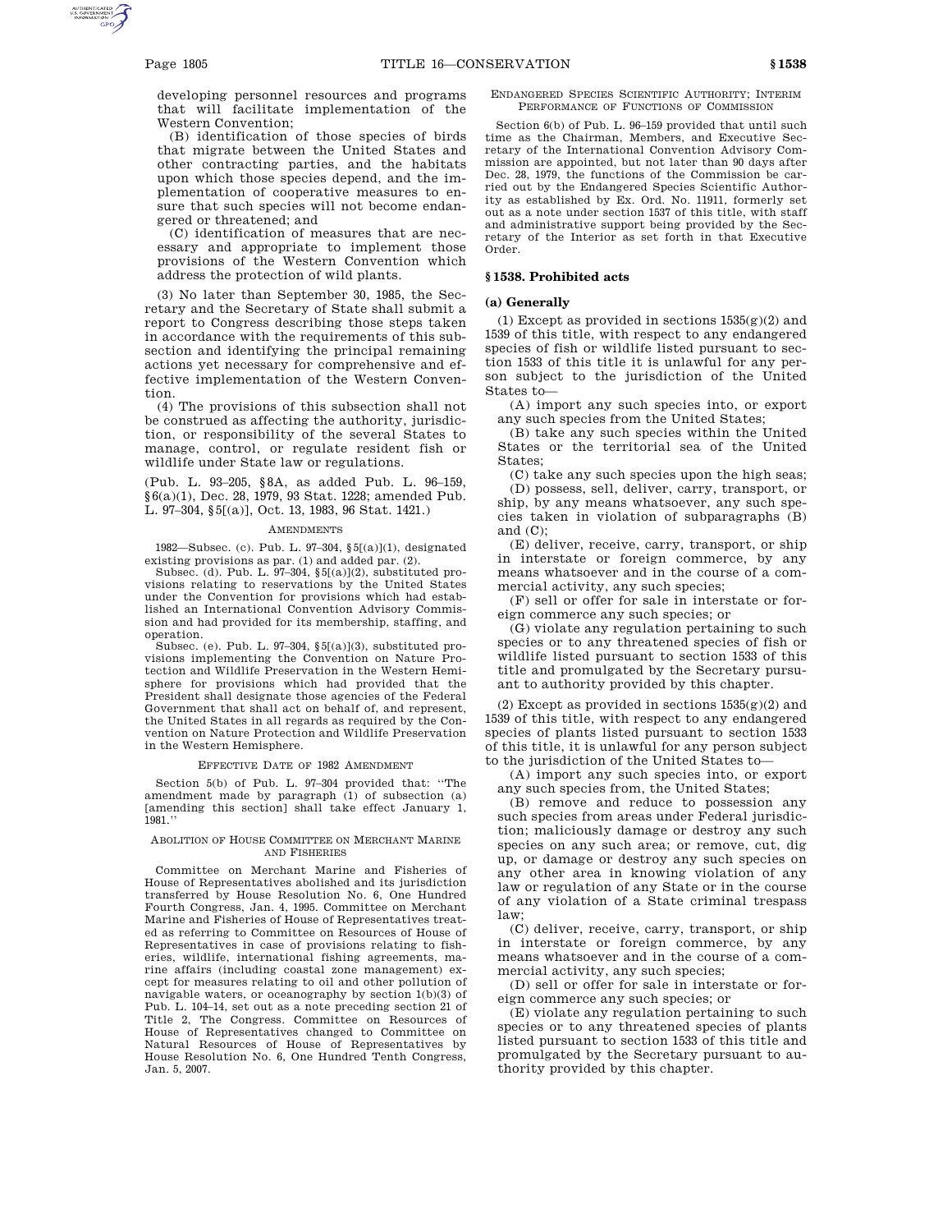developing personnel resources and programs that will facilitate implementation of the Western Convention;

(B) identification of those species of birds that migrate between the United States and other contracting parties, and the habitats upon which those species depend, and the implementation of cooperative measures to ensure that such species will not become endangered or threatened; and

(C) identification of measures that are necessary and appropriate to implement those provisions of the Western Convention which address the protection of wild plants.

(3) No later than September 30, 1985, the Secretary and the Secretary of State shall submit a report to Congress describing those steps taken in accordance with the requirements of this subsection and identifying the principal remaining actions yet necessary for comprehensive and effective implementation of the Western Convention.

(4) The provisions of this subsection shall not be construed as affecting the authority, jurisdiction, or responsibility of the several States to manage, control, or regulate resident fish or wildlife under State law or regulations.

(Pub. L. 93–205, §8A, as added Pub. L. 96–159, §6(a)(1), Dec. 28, 1979, 93 Stat. 1228; amended Pub. L. 97–304, §5[(a)], Oct. 13, 1983, 96 Stat. 1421.)

#### **AMENDMENTS**

1982—Subsec. (c). Pub. L. 97–304, §5[(a)](1), designated existing provisions as par. (1) and added par. (2).

Subsec. (d). Pub. L. 97–304, §5[(a)](2), substituted provisions relating to reservations by the United States under the Convention for provisions which had established an International Convention Advisory Commission and had provided for its membership, staffing, and operation.

Subsec. (e). Pub. L. 97-304,  $\S5[(a)](3)$ , substituted provisions implementing the Convention on Nature Protection and Wildlife Preservation in the Western Hemisphere for provisions which had provided that the President shall designate those agencies of the Federal Government that shall act on behalf of, and represent, the United States in all regards as required by the Convention on Nature Protection and Wildlife Preservation in the Western Hemisphere.

#### EFFECTIVE DATE OF 1982 AMENDMENT

Section 5(b) of Pub. L. 97–304 provided that: ''The amendment made by paragraph (1) of subsection (a) [amending this section] shall take effect January 1, 1981.''

### ABOLITION OF HOUSE COMMITTEE ON MERCHANT MARINE AND FISHERIES

Committee on Merchant Marine and Fisheries of House of Representatives abolished and its jurisdiction transferred by House Resolution No. 6, One Hundred Fourth Congress, Jan. 4, 1995. Committee on Merchant Marine and Fisheries of House of Representatives treated as referring to Committee on Resources of House of Representatives in case of provisions relating to fisheries, wildlife, international fishing agreements, marine affairs (including coastal zone management) except for measures relating to oil and other pollution of navigable waters, or oceanography by section 1(b)(3) of Pub. L. 104–14, set out as a note preceding section 21 of Title 2, The Congress. Committee on Resources of House of Representatives changed to Committee on Natural Resources of House of Representatives by House Resolution No. 6, One Hundred Tenth Congress, Jan. 5, 2007.

ENDANGERED SPECIES SCIENTIFIC AUTHORITY; INTERIM PERFORMANCE OF FUNCTIONS OF COMMISSION

Section 6(b) of Pub. L. 96–159 provided that until such time as the Chairman, Members, and Executive Secretary of the International Convention Advisory Commission are appointed, but not later than 90 days after Dec. 28, 1979, the functions of the Commission be carried out by the Endangered Species Scientific Authority as established by Ex. Ord. No. 11911, formerly set out as a note under section 1537 of this title, with staff and administrative support being provided by the Secretary of the Interior as set forth in that Executive Order.

### **§ 1538. Prohibited acts**

### **(a) Generally**

(1) Except as provided in sections  $1535(g)(2)$  and 1539 of this title, with respect to any endangered species of fish or wildlife listed pursuant to section 1533 of this title it is unlawful for any person subject to the jurisdiction of the United States to—

(A) import any such species into, or export any such species from the United States;

(B) take any such species within the United States or the territorial sea of the United States;

(C) take any such species upon the high seas;

(D) possess, sell, deliver, carry, transport, or ship, by any means whatsoever, any such species taken in violation of subparagraphs (B) and  $(C)$ :

(E) deliver, receive, carry, transport, or ship in interstate or foreign commerce, by any means whatsoever and in the course of a commercial activity, any such species;

(F) sell or offer for sale in interstate or foreign commerce any such species; or

(G) violate any regulation pertaining to such species or to any threatened species of fish or wildlife listed pursuant to section 1533 of this title and promulgated by the Secretary pursuant to authority provided by this chapter.

(2) Except as provided in sections  $1535(g)(2)$  and 1539 of this title, with respect to any endangered species of plants listed pursuant to section 1533 of this title, it is unlawful for any person subject to the jurisdiction of the United States to—

(A) import any such species into, or export any such species from, the United States;

(B) remove and reduce to possession any such species from areas under Federal jurisdiction; maliciously damage or destroy any such species on any such area; or remove, cut, dig up, or damage or destroy any such species on any other area in knowing violation of any law or regulation of any State or in the course of any violation of a State criminal trespass law;

(C) deliver, receive, carry, transport, or ship in interstate or foreign commerce, by any means whatsoever and in the course of a commercial activity, any such species;

(D) sell or offer for sale in interstate or foreign commerce any such species; or

(E) violate any regulation pertaining to such species or to any threatened species of plants listed pursuant to section 1533 of this title and promulgated by the Secretary pursuant to authority provided by this chapter.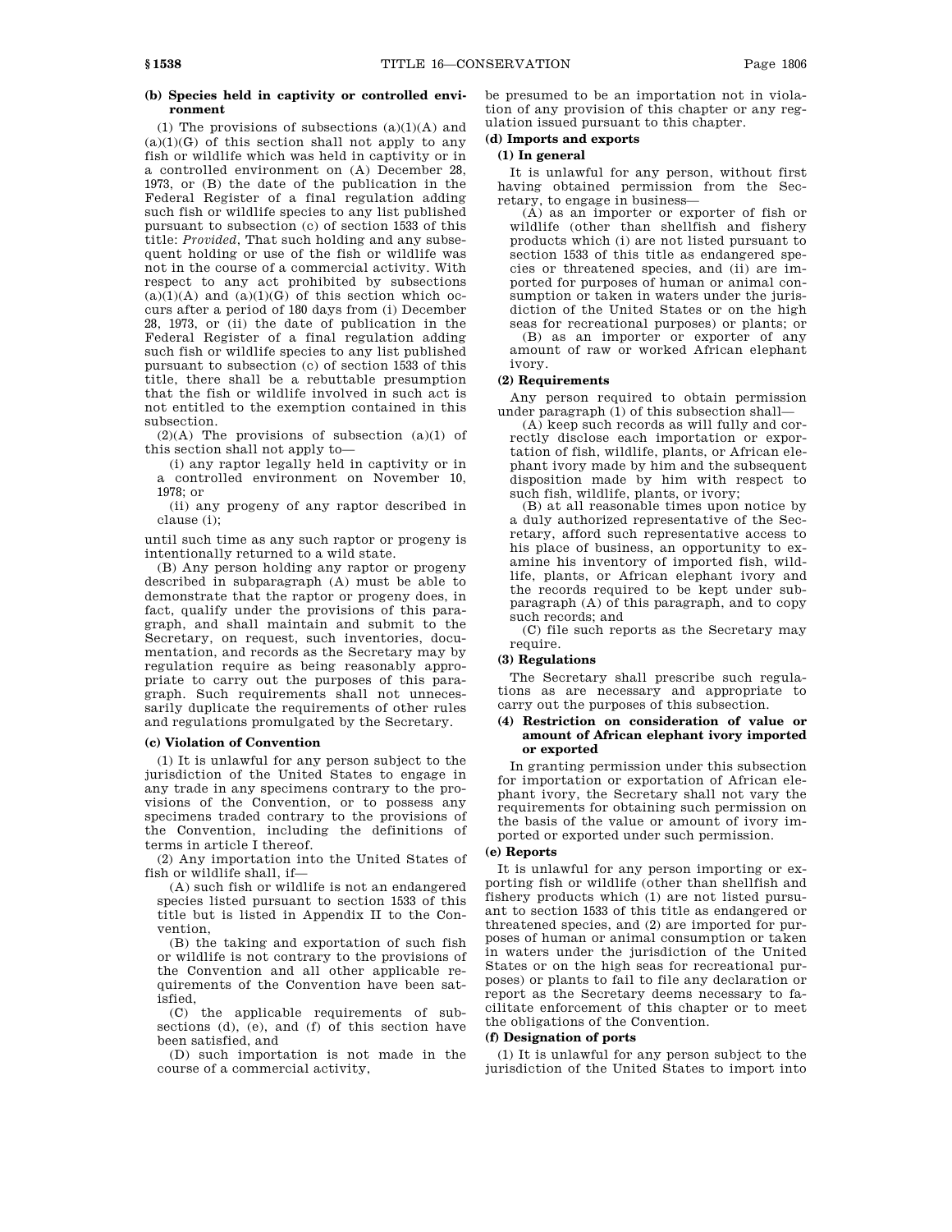# **(b) Species held in captivity or controlled environment**

(1) The provisions of subsections  $(a)(1)(A)$  and  $(a)(1)(G)$  of this section shall not apply to any fish or wildlife which was held in captivity or in a controlled environment on (A) December 28, 1973, or (B) the date of the publication in the Federal Register of a final regulation adding such fish or wildlife species to any list published pursuant to subsection (c) of section 1533 of this title: *Provided*, That such holding and any subsequent holding or use of the fish or wildlife was not in the course of a commercial activity. With respect to any act prohibited by subsections  $(a)(1)(A)$  and  $(a)(1)(G)$  of this section which occurs after a period of 180 days from (i) December 28, 1973, or (ii) the date of publication in the Federal Register of a final regulation adding such fish or wildlife species to any list published pursuant to subsection (c) of section 1533 of this title, there shall be a rebuttable presumption that the fish or wildlife involved in such act is not entitled to the exemption contained in this subsection.

 $(2)(A)$  The provisions of subsection  $(a)(1)$  of this section shall not apply to—

(i) any raptor legally held in captivity or in a controlled environment on November 10, 1978; or

(ii) any progeny of any raptor described in clause (i);

until such time as any such raptor or progeny is intentionally returned to a wild state.

(B) Any person holding any raptor or progeny described in subparagraph (A) must be able to demonstrate that the raptor or progeny does, in fact, qualify under the provisions of this paragraph, and shall maintain and submit to the Secretary, on request, such inventories, documentation, and records as the Secretary may by regulation require as being reasonably appropriate to carry out the purposes of this paragraph. Such requirements shall not unnecessarily duplicate the requirements of other rules and regulations promulgated by the Secretary.

# **(c) Violation of Convention**

(1) It is unlawful for any person subject to the jurisdiction of the United States to engage in any trade in any specimens contrary to the provisions of the Convention, or to possess any specimens traded contrary to the provisions of the Convention, including the definitions of terms in article I thereof.

(2) Any importation into the United States of fish or wildlife shall, if—

(A) such fish or wildlife is not an endangered species listed pursuant to section 1533 of this title but is listed in Appendix II to the Convention,

(B) the taking and exportation of such fish or wildlife is not contrary to the provisions of the Convention and all other applicable requirements of the Convention have been satisfied,

(C) the applicable requirements of subsections (d), (e), and (f) of this section have been satisfied, and

(D) such importation is not made in the course of a commercial activity,

be presumed to be an importation not in violation of any provision of this chapter or any regulation issued pursuant to this chapter.

# **(d) Imports and exports**

# **(1) In general**

It is unlawful for any person, without first having obtained permission from the Secretary, to engage in business—

(A) as an importer or exporter of fish or wildlife (other than shellfish and fishery products which (i) are not listed pursuant to section 1533 of this title as endangered species or threatened species, and (ii) are imported for purposes of human or animal consumption or taken in waters under the jurisdiction of the United States or on the high seas for recreational purposes) or plants; or (B) as an importer or exporter of any

amount of raw or worked African elephant ivory.

### **(2) Requirements**

Any person required to obtain permission under paragraph (1) of this subsection shall—

(A) keep such records as will fully and correctly disclose each importation or exportation of fish, wildlife, plants, or African elephant ivory made by him and the subsequent disposition made by him with respect to such fish, wildlife, plants, or ivory;

(B) at all reasonable times upon notice by a duly authorized representative of the Secretary, afford such representative access to his place of business, an opportunity to examine his inventory of imported fish, wildlife, plants, or African elephant ivory and the records required to be kept under subparagraph (A) of this paragraph, and to copy such records; and

(C) file such reports as the Secretary may require.

### **(3) Regulations**

The Secretary shall prescribe such regulations as are necessary and appropriate to carry out the purposes of this subsection.

### **(4) Restriction on consideration of value or amount of African elephant ivory imported or exported**

In granting permission under this subsection for importation or exportation of African elephant ivory, the Secretary shall not vary the requirements for obtaining such permission on the basis of the value or amount of ivory imported or exported under such permission.

### **(e) Reports**

It is unlawful for any person importing or exporting fish or wildlife (other than shellfish and fishery products which (1) are not listed pursuant to section 1533 of this title as endangered or threatened species, and (2) are imported for purposes of human or animal consumption or taken in waters under the jurisdiction of the United States or on the high seas for recreational purposes) or plants to fail to file any declaration or report as the Secretary deems necessary to facilitate enforcement of this chapter or to meet the obligations of the Convention.

# **(f) Designation of ports**

(1) It is unlawful for any person subject to the jurisdiction of the United States to import into